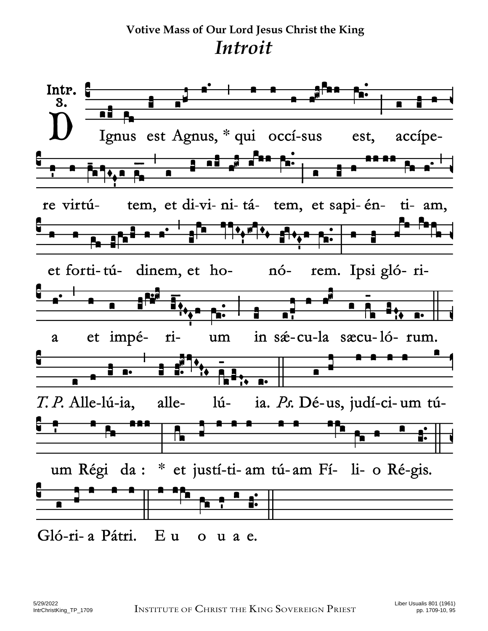## **Votive Mass of Our Lord Jesus Christ the King**  *Introit*

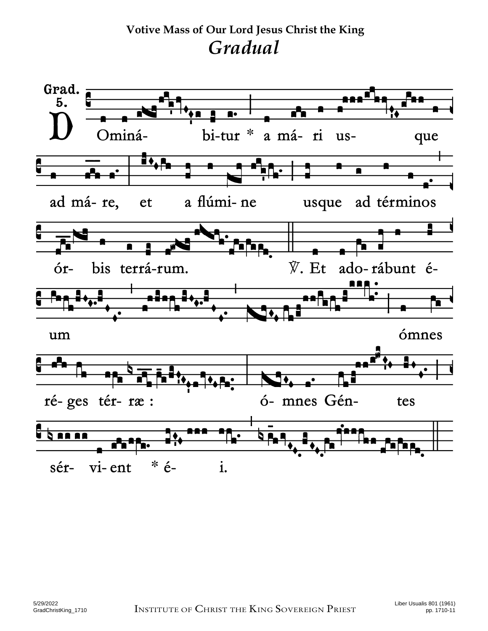**Votive Mass of Our Lord Jesus Christ the King**  *Gradual* 

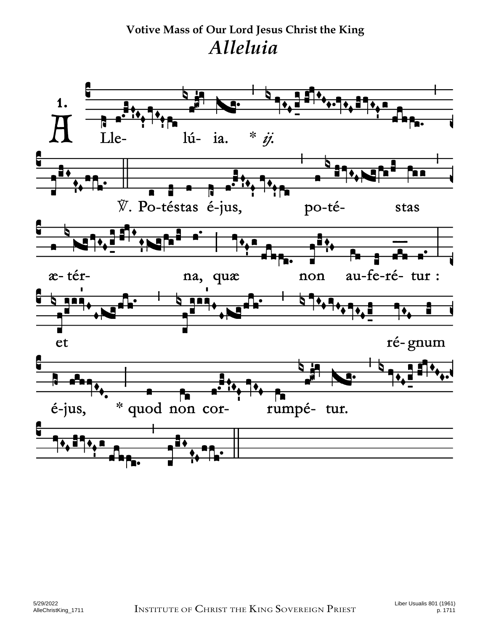## **Votive Mass of Our Lord Jesus Christ the King**  *Alleluia*

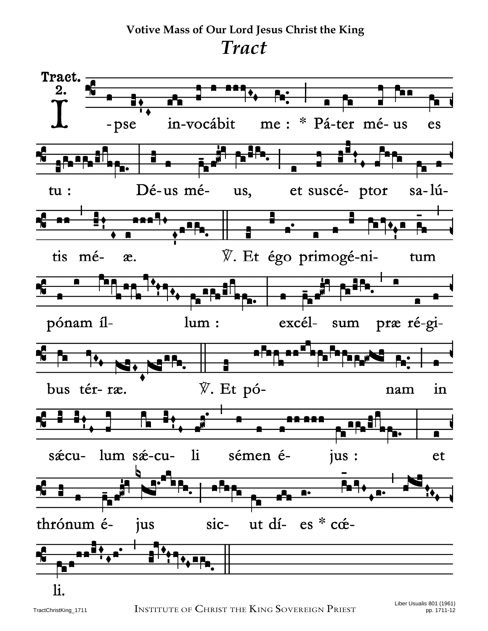**Votive Mass of Our Lord Jesus Christ the King**  *Tract* 

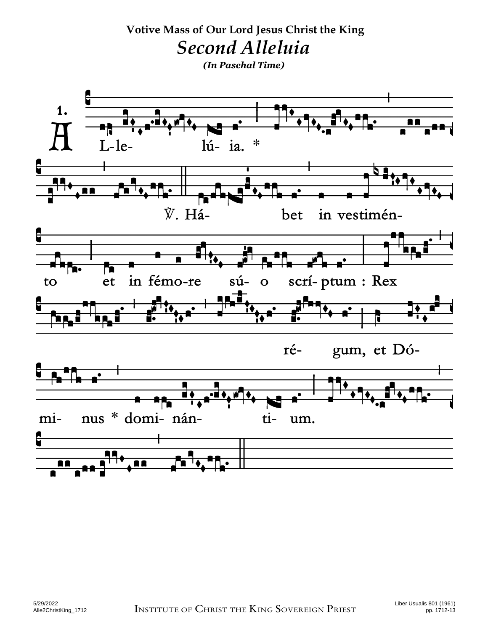**Votive Mass of Our Lord Jesus Christ the King**  *Second Alleluia (In Paschal Time)* $\mathbf 1$ . A R  $\ast$ lú-ia. - le-M I ℣. Háin vestiménbet scrí-ptum : Rex in fémo-re et  $s\acute{u}$ to  $\overline{O}$ gum, et Dórénus \* domi- nán- $\mathbf{t}$ imium. 88 88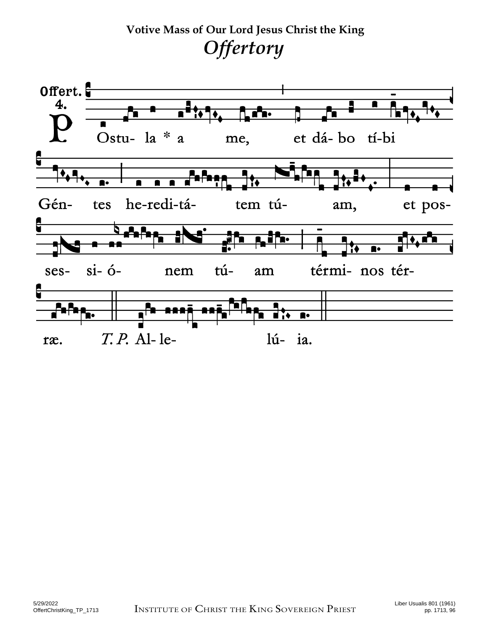**Votive Mass of Our Lord Jesus Christ the King**  *Offertory*